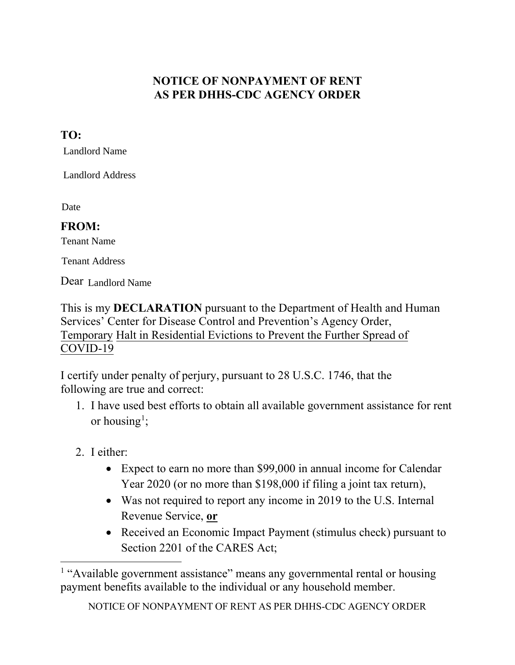## **NOTICE OF NONPAYMENT OF RENT AS PER DHHS-CDC AGENCY ORDER**

## **TO:**

Landlord Name

Landlord Address

Date

## **FROM:**

Tenant Name

Tenant Address

Dear Landlord Name

This is my **DECLARATION** pursuant to the Department of Health and Human Services' Center for Disease Control and Prevention's Agency Order, Temporary Halt in Residential Evictions to Prevent the Further Spread of COVID-19

I certify under penalty of perjury, pursuant to 28 U.S.C. 1746, that the following are true and correct:

- 1. I have used best efforts to obtain all available government assistance for rent or housing<sup>[1](#page-0-0)</sup>;
- 2. I either:
	- Expect to earn no more than \$99,000 in annual income for Calendar Year 2020 (or no more than \$198,000 if filing a joint tax return),
	- Was not required to report any income in 2019 to the U.S. Internal Revenue Service, **or**
	- Received an Economic Impact Payment (stimulus check) pursuant to Section 2201 of the CARES Act;

<span id="page-0-0"></span><sup>&</sup>lt;sup>1</sup> "Available government assistance" means any governmental rental or housing payment benefits available to the individual or any household member.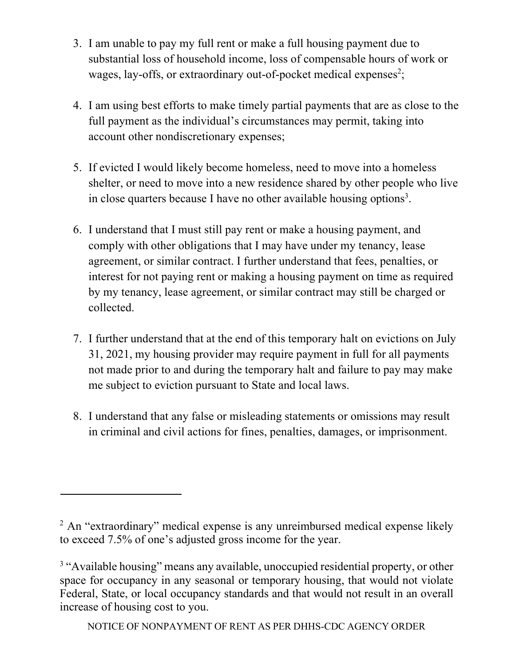- 3. I am unable to pay my full rent or make a full housing payment due to substantial loss of household income, loss of compensable hours of work or wages, lay-offs, or extraordinary out-of-pocket medical expenses<sup>[2](#page-1-0)</sup>;
- 4. I am using best efforts to make timely partial payments that are as close to the full payment as the individual's circumstances may permit, taking into account other nondiscretionary expenses;
- 5. If evicted I would likely become homeless, need to move into a homeless shelter, or need to move into a new residence shared by other people who live in close quarters because I have no other available housing options<sup>[3](#page-1-1)</sup>.
- 6. I understand that I must still pay rent or make a housing payment, and comply with other obligations that I may have under my tenancy, lease agreement, or similar contract. I further understand that fees, penalties, or interest for not paying rent or making a housing payment on time as required by my tenancy, lease agreement, or similar contract may still be charged or collected.
- 7. I further understand that at the end of this temporary halt on evictions on July 31, 2021, my housing provider may require payment in full for all payments not made prior to and during the temporary halt and failure to pay may make me subject to eviction pursuant to State and local laws.
- 8. I understand that any false or misleading statements or omissions may result in criminal and civil actions for fines, penalties, damages, or imprisonment.

<span id="page-1-1"></span><span id="page-1-0"></span><sup>&</sup>lt;sup>2</sup> An "extraordinary" medical expense is any unreimbursed medical expense likely to exceed 7.5% of one's adjusted gross income for the year.

<sup>&</sup>lt;sup>3</sup> "Available housing" means any available, unoccupied residential property, or other space for occupancy in any seasonal or temporary housing, that would not violate Federal, State, or local occupancy standards and that would not result in an overall increase of housing cost to you.